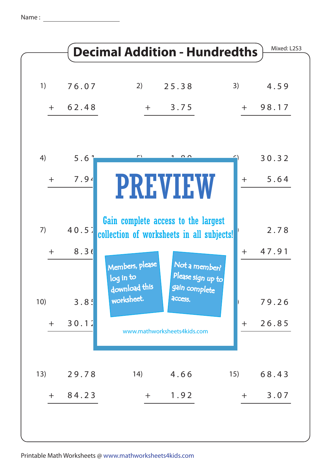